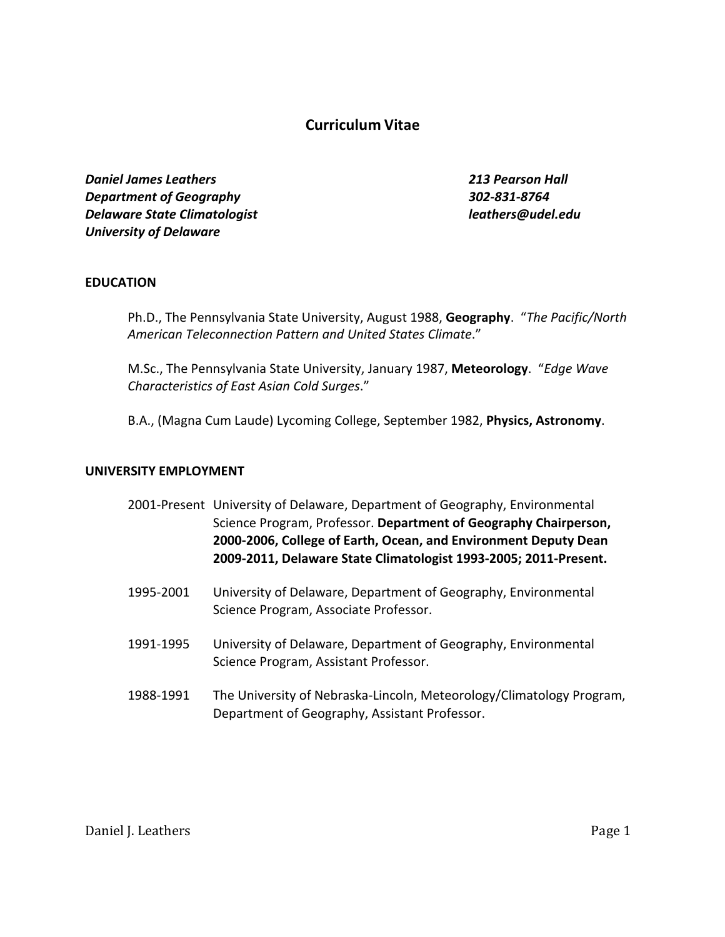# **Curriculum Vitae**

*Daniel James Leathers 213 Pearson Hall Department of Geography 302-831-8764 Delaware State Climatologist leathers@udel.edu University of Delaware*

# **EDUCATION**

Ph.D., The Pennsylvania State University, August 1988, **Geography**. "*The Pacific/North American Teleconnection Pattern and United States Climate*."

M.Sc., The Pennsylvania State University, January 1987, **Meteorology**. "*Edge Wave Characteristics of East Asian Cold Surges*."

B.A., (Magna Cum Laude) Lycoming College, September 1982, **Physics, Astronomy**.

#### **UNIVERSITY EMPLOYMENT**

|  | 2001-Present University of Delaware, Department of Geography, Environmental |
|--|-----------------------------------------------------------------------------|
|  | Science Program, Professor. Department of Geography Chairperson,            |
|  | 2000-2006, College of Earth, Ocean, and Environment Deputy Dean             |
|  | 2009-2011, Delaware State Climatologist 1993-2005; 2011-Present.            |

- 1995-2001 University of Delaware, Department of Geography, Environmental Science Program, Associate Professor.
- 1991-1995 University of Delaware, Department of Geography, Environmental Science Program, Assistant Professor.
- 1988-1991 The University of Nebraska-Lincoln, Meteorology/Climatology Program, Department of Geography, Assistant Professor.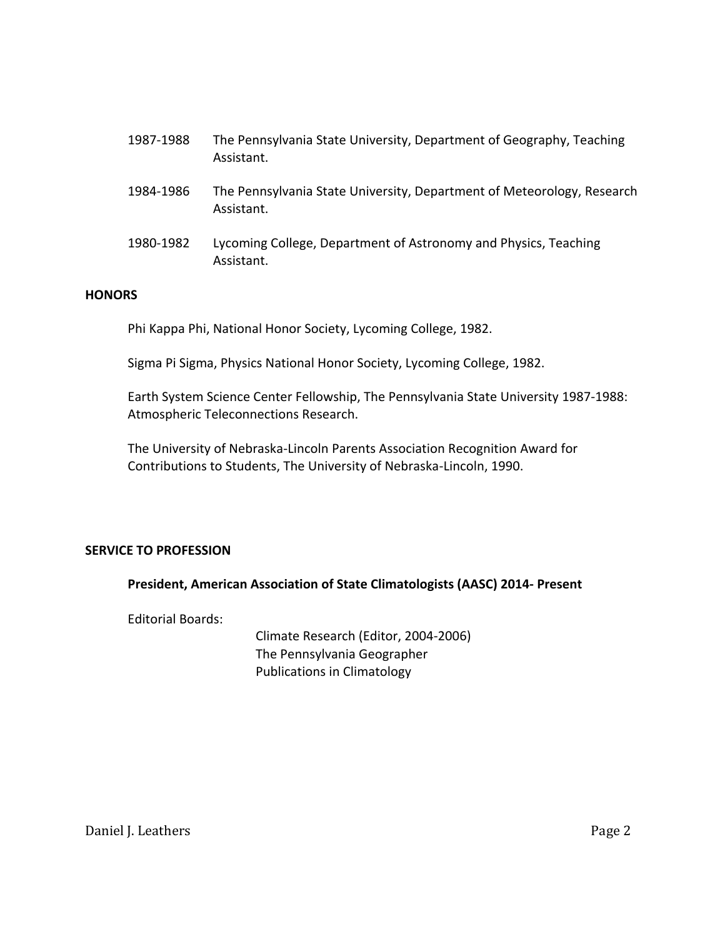| 1987-1988 | The Pennsylvania State University, Department of Geography, Teaching<br>Assistant.   |
|-----------|--------------------------------------------------------------------------------------|
| 1984-1986 | The Pennsylvania State University, Department of Meteorology, Research<br>Assistant. |
| 1980-1982 | Lycoming College, Department of Astronomy and Physics, Teaching<br>Assistant.        |

## **HONORS**

Phi Kappa Phi, National Honor Society, Lycoming College, 1982.

Sigma Pi Sigma, Physics National Honor Society, Lycoming College, 1982.

Earth System Science Center Fellowship, The Pennsylvania State University 1987-1988: Atmospheric Teleconnections Research.

The University of Nebraska-Lincoln Parents Association Recognition Award for Contributions to Students, The University of Nebraska-Lincoln, 1990.

# **SERVICE TO PROFESSION**

#### **President, American Association of State Climatologists (AASC) 2014- Present**

Editorial Boards:

Climate Research (Editor, 2004-2006) The Pennsylvania Geographer Publications in Climatology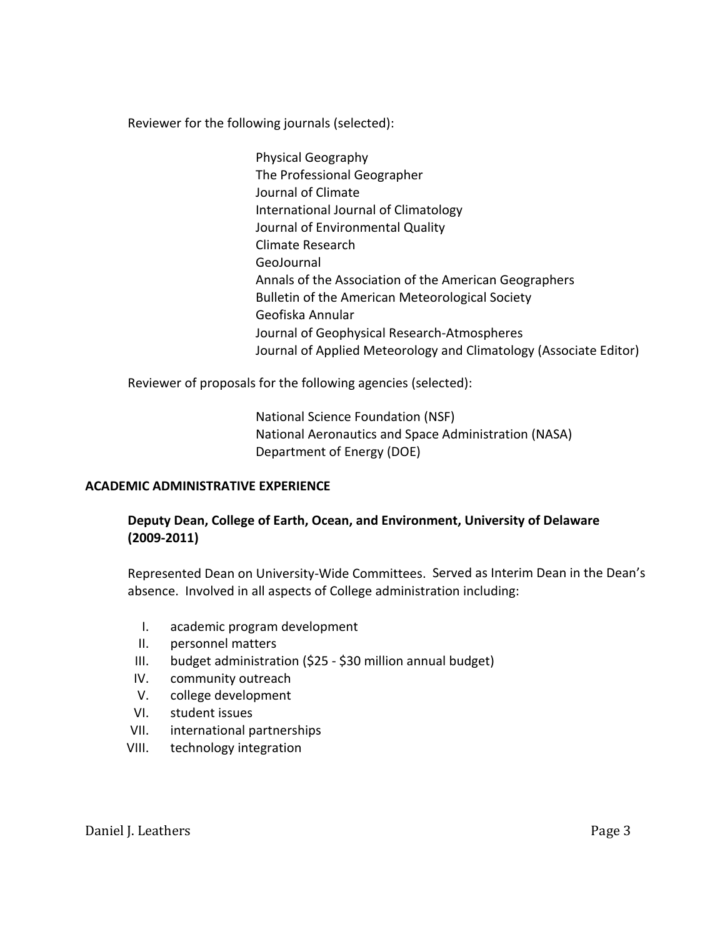Reviewer for the following journals (selected):

Physical Geography The Professional Geographer Journal of Climate International Journal of Climatology Journal of Environmental Quality Climate Research GeoJournal Annals of the Association of the American Geographers Bulletin of the American Meteorological Society Geofiska Annular Journal of Geophysical Research-Atmospheres Journal of Applied Meteorology and Climatology (Associate Editor)

Reviewer of proposals for the following agencies (selected):

National Science Foundation (NSF) National Aeronautics and Space Administration (NASA) Department of Energy (DOE)

# **ACADEMIC ADMINISTRATIVE EXPERIENCE**

# **Deputy Dean, College of Earth, Ocean, and Environment, University of Delaware (2009-2011)**

Represented Dean on University-Wide Committees. Served as Interim Dean in the Dean's absence. Involved in all aspects of College administration including:

- I. academic program development
- II. personnel matters
- III. budget administration (\$25 \$30 million annual budget)
- IV. community outreach
- V. college development
- VI. student issues
- VII. international partnerships
- VIII. technology integration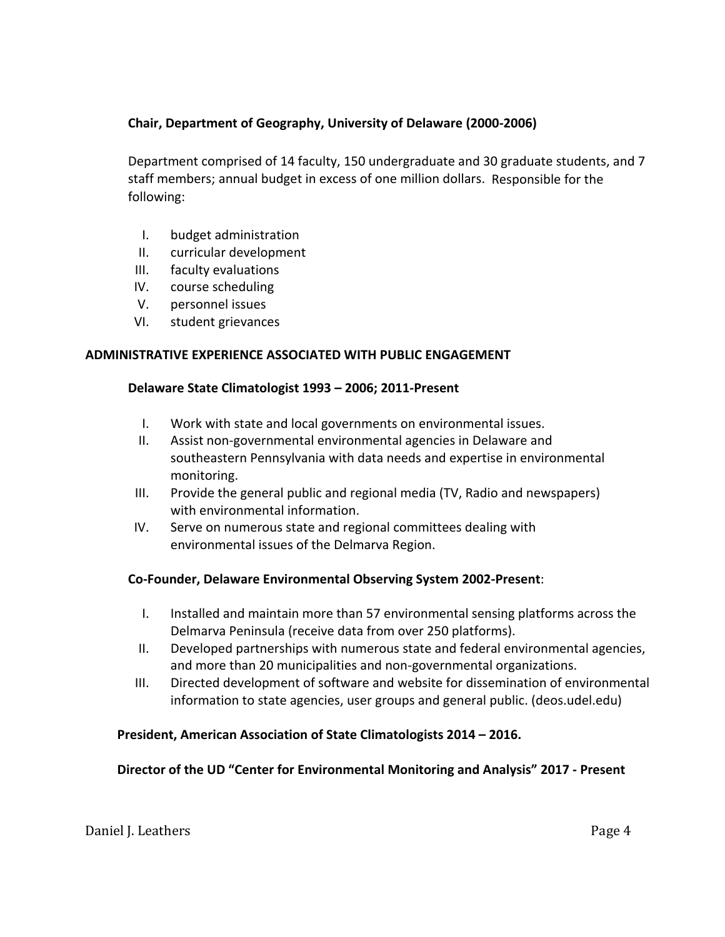# **Chair, Department of Geography, University of Delaware (2000-2006)**

Department comprised of 14 faculty, 150 undergraduate and 30 graduate students, and 7 staff members; annual budget in excess of one million dollars. Responsible for the following:

- I. budget administration
- II. curricular development
- III. faculty evaluations
- IV. course scheduling
- V. personnel issues
- VI. student grievances

## **ADMINISTRATIVE EXPERIENCE ASSOCIATED WITH PUBLIC ENGAGEMENT**

## **Delaware State Climatologist 1993 – 2006; 2011-Present**

- I. Work with state and local governments on environmental issues.
- II. Assist non-governmental environmental agencies in Delaware and southeastern Pennsylvania with data needs and expertise in environmental monitoring.
- III. Provide the general public and regional media (TV, Radio and newspapers) with environmental information.
- IV. Serve on numerous state and regional committees dealing with environmental issues of the Delmarva Region.

# **Co-Founder, Delaware Environmental Observing System 2002-Present**:

- I. Installed and maintain more than 57 environmental sensing platforms across the Delmarva Peninsula (receive data from over 250 platforms).
- II. Developed partnerships with numerous state and federal environmental agencies, and more than 20 municipalities and non-governmental organizations.
- III. Directed development of software and website for dissemination of environmental information to state agencies, user groups and general public. (deos.udel.edu)

# **President, American Association of State Climatologists 2014 – 2016.**

#### **Director of the UD "Center for Environmental Monitoring and Analysis" 2017 - Present**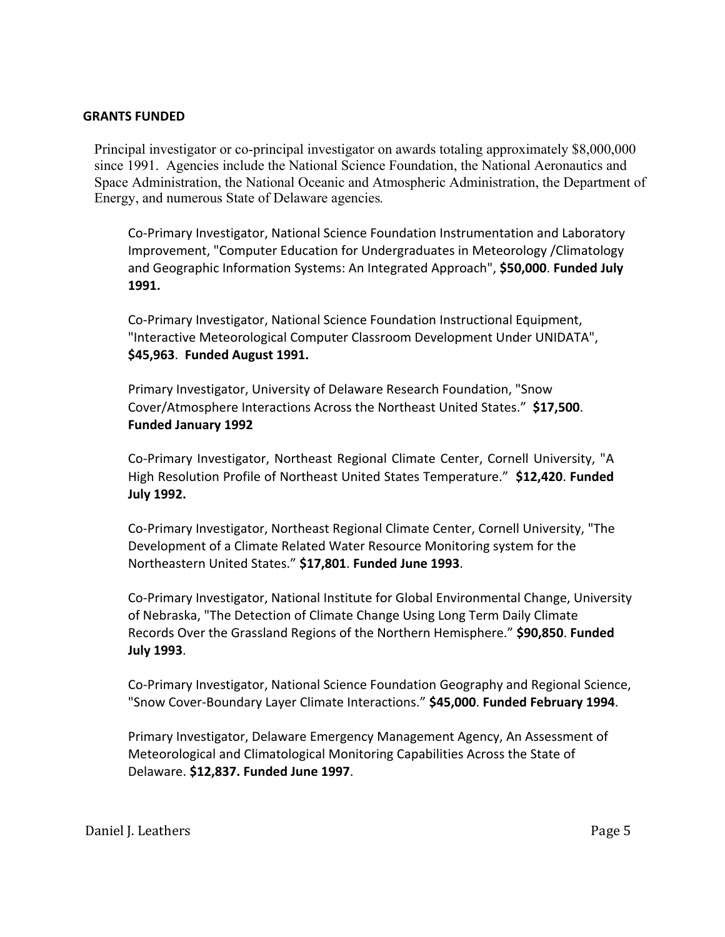## **GRANTS FUNDED**

Principal investigator or co-principal investigator on awards totaling approximately \$8,000,000 since 1991. Agencies include the National Science Foundation, the National Aeronautics and Space Administration, the National Oceanic and Atmospheric Administration, the Department of Energy, and numerous State of Delaware agencies*.*

Co-Primary Investigator, National Science Foundation Instrumentation and Laboratory Improvement, "Computer Education for Undergraduates in Meteorology /Climatology and Geographic Information Systems: An Integrated Approach", **\$50,000**. **Funded July 1991.**

Co-Primary Investigator, National Science Foundation Instructional Equipment, "Interactive Meteorological Computer Classroom Development Under UNIDATA", **\$45,963**. **Funded August 1991.**

Primary Investigator, University of Delaware Research Foundation, "Snow Cover/Atmosphere Interactions Across the Northeast United States." **\$17,500**. **Funded January 1992**

Co-Primary Investigator, Northeast Regional Climate Center, Cornell University, "A High Resolution Profile of Northeast United States Temperature." **\$12,420**. **Funded July 1992.**

Co-Primary Investigator, Northeast Regional Climate Center, Cornell University, "The Development of a Climate Related Water Resource Monitoring system for the Northeastern United States." **\$17,801**. **Funded June 1993**.

Co-Primary Investigator, National Institute for Global Environmental Change, University of Nebraska, "The Detection of Climate Change Using Long Term Daily Climate Records Over the Grassland Regions of the Northern Hemisphere." **\$90,850**. **Funded July 1993**.

Co-Primary Investigator, National Science Foundation Geography and Regional Science, "Snow Cover-Boundary Layer Climate Interactions." **\$45,000**. **Funded February 1994**.

Primary Investigator, Delaware Emergency Management Agency, An Assessment of Meteorological and Climatological Monitoring Capabilities Across the State of Delaware. **\$12,837. Funded June 1997**.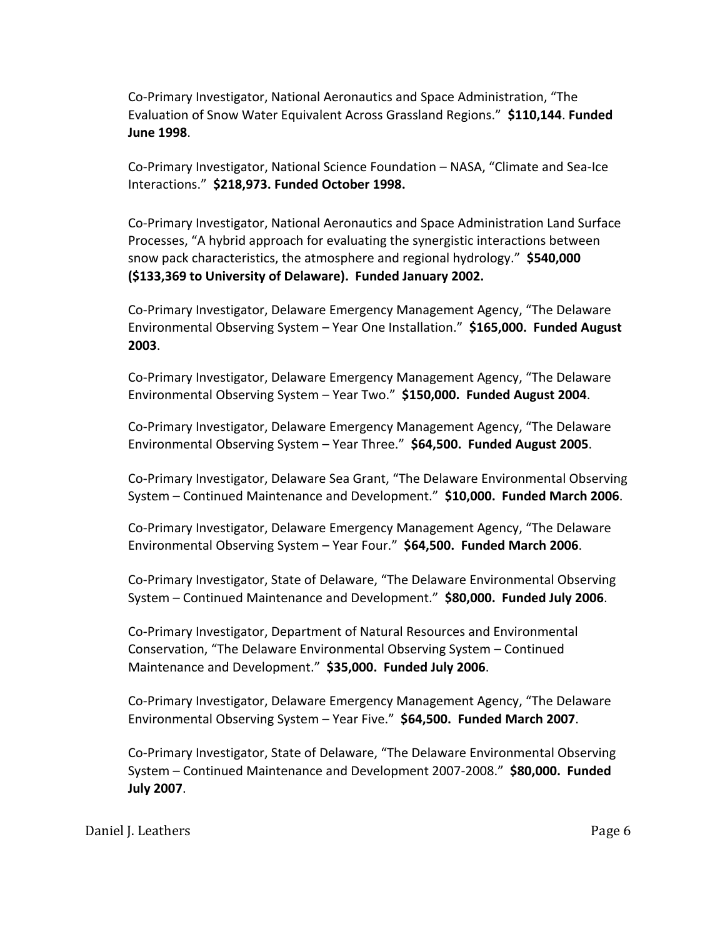Co-Primary Investigator, National Aeronautics and Space Administration, "The Evaluation of Snow Water Equivalent Across Grassland Regions." **\$110,144**. **Funded June 1998**.

Co-Primary Investigator, National Science Foundation – NASA, "Climate and Sea-Ice Interactions." **\$218,973. Funded October 1998.**

Co-Primary Investigator, National Aeronautics and Space Administration Land Surface Processes, "A hybrid approach for evaluating the synergistic interactions between snow pack characteristics, the atmosphere and regional hydrology." **\$540,000 (\$133,369 to University of Delaware). Funded January 2002.**

Co-Primary Investigator, Delaware Emergency Management Agency, "The Delaware Environmental Observing System – Year One Installation." **\$165,000. Funded August 2003**.

Co-Primary Investigator, Delaware Emergency Management Agency, "The Delaware Environmental Observing System – Year Two." **\$150,000. Funded August 2004**.

Co-Primary Investigator, Delaware Emergency Management Agency, "The Delaware Environmental Observing System – Year Three." **\$64,500. Funded August 2005**.

Co-Primary Investigator, Delaware Sea Grant, "The Delaware Environmental Observing System – Continued Maintenance and Development." **\$10,000. Funded March 2006**.

Co-Primary Investigator, Delaware Emergency Management Agency, "The Delaware Environmental Observing System – Year Four." **\$64,500. Funded March 2006**.

Co-Primary Investigator, State of Delaware, "The Delaware Environmental Observing System – Continued Maintenance and Development." **\$80,000. Funded July 2006**.

Co-Primary Investigator, Department of Natural Resources and Environmental Conservation, "The Delaware Environmental Observing System – Continued Maintenance and Development." **\$35,000. Funded July 2006**.

Co-Primary Investigator, Delaware Emergency Management Agency, "The Delaware Environmental Observing System – Year Five." **\$64,500. Funded March 2007**.

Co-Primary Investigator, State of Delaware, "The Delaware Environmental Observing System – Continued Maintenance and Development 2007-2008." **\$80,000. Funded July 2007**.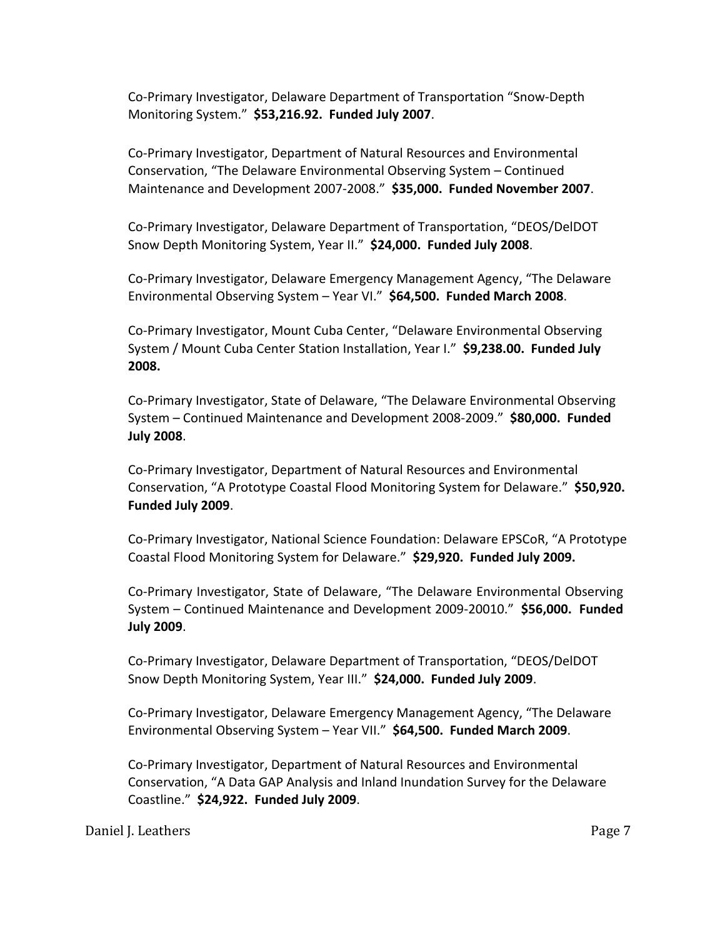Co-Primary Investigator, Delaware Department of Transportation "Snow-Depth Monitoring System." **\$53,216.92. Funded July 2007**.

Co-Primary Investigator, Department of Natural Resources and Environmental Conservation, "The Delaware Environmental Observing System – Continued Maintenance and Development 2007-2008." **\$35,000. Funded November 2007**.

Co-Primary Investigator, Delaware Department of Transportation, "DEOS/DelDOT Snow Depth Monitoring System, Year II." **\$24,000. Funded July 2008**.

Co-Primary Investigator, Delaware Emergency Management Agency, "The Delaware Environmental Observing System – Year VI." **\$64,500. Funded March 2008**.

Co-Primary Investigator, Mount Cuba Center, "Delaware Environmental Observing System / Mount Cuba Center Station Installation, Year I." **\$9,238.00. Funded July 2008.**

Co-Primary Investigator, State of Delaware, "The Delaware Environmental Observing System – Continued Maintenance and Development 2008-2009." **\$80,000. Funded July 2008**.

Co-Primary Investigator, Department of Natural Resources and Environmental Conservation, "A Prototype Coastal Flood Monitoring System for Delaware." **\$50,920. Funded July 2009**.

Co-Primary Investigator, National Science Foundation: Delaware EPSCoR, "A Prototype Coastal Flood Monitoring System for Delaware." **\$29,920. Funded July 2009.**

Co-Primary Investigator, State of Delaware, "The Delaware Environmental Observing System – Continued Maintenance and Development 2009-20010." **\$56,000. Funded July 2009**.

Co-Primary Investigator, Delaware Department of Transportation, "DEOS/DelDOT Snow Depth Monitoring System, Year III." **\$24,000. Funded July 2009**.

Co-Primary Investigator, Delaware Emergency Management Agency, "The Delaware Environmental Observing System – Year VII." **\$64,500. Funded March 2009**.

Co-Primary Investigator, Department of Natural Resources and Environmental Conservation, "A Data GAP Analysis and Inland Inundation Survey for the Delaware Coastline." **\$24,922. Funded July 2009**.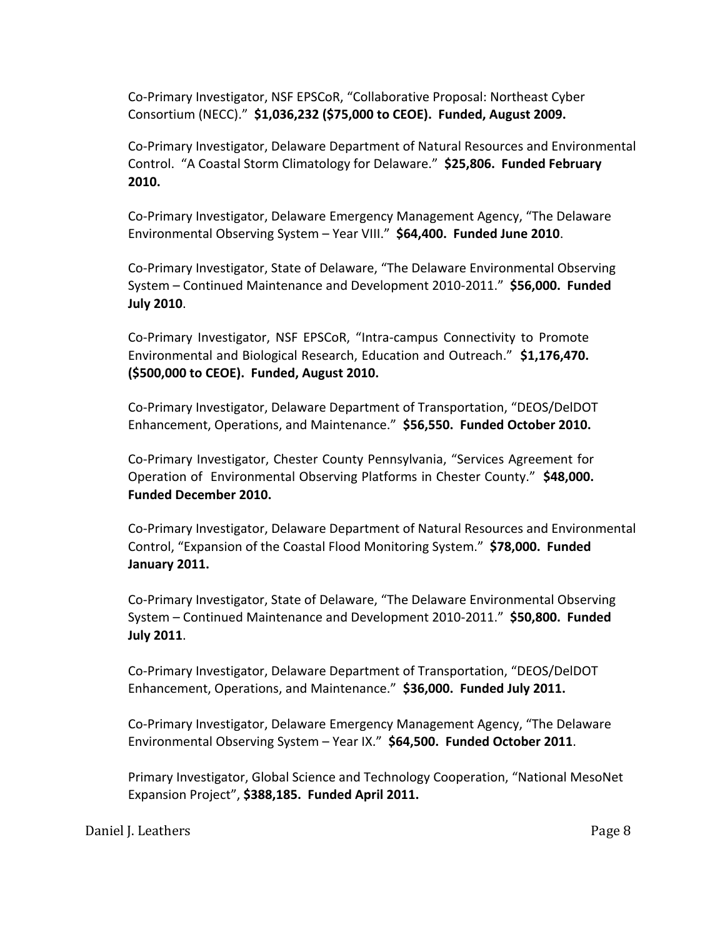Co-Primary Investigator, NSF EPSCoR, "Collaborative Proposal: Northeast Cyber Consortium (NECC)." **\$1,036,232 (\$75,000 to CEOE). Funded, August 2009.**

Co-Primary Investigator, Delaware Department of Natural Resources and Environmental Control. "A Coastal Storm Climatology for Delaware." **\$25,806. Funded February 2010.**

Co-Primary Investigator, Delaware Emergency Management Agency, "The Delaware Environmental Observing System – Year VIII." **\$64,400. Funded June 2010**.

Co-Primary Investigator, State of Delaware, "The Delaware Environmental Observing System – Continued Maintenance and Development 2010-2011." **\$56,000. Funded July 2010**.

Co-Primary Investigator, NSF EPSCoR, "Intra-campus Connectivity to Promote Environmental and Biological Research, Education and Outreach." **\$1,176,470. (\$500,000 to CEOE). Funded, August 2010.**

Co-Primary Investigator, Delaware Department of Transportation, "DEOS/DelDOT Enhancement, Operations, and Maintenance." **\$56,550. Funded October 2010.**

Co-Primary Investigator, Chester County Pennsylvania, "Services Agreement for Operation of Environmental Observing Platforms in Chester County." **\$48,000. Funded December 2010.**

Co-Primary Investigator, Delaware Department of Natural Resources and Environmental Control, "Expansion of the Coastal Flood Monitoring System." **\$78,000. Funded January 2011.**

Co-Primary Investigator, State of Delaware, "The Delaware Environmental Observing System – Continued Maintenance and Development 2010-2011." **\$50,800. Funded July 2011**.

Co-Primary Investigator, Delaware Department of Transportation, "DEOS/DelDOT Enhancement, Operations, and Maintenance." **\$36,000. Funded July 2011.**

Co-Primary Investigator, Delaware Emergency Management Agency, "The Delaware Environmental Observing System – Year IX." **\$64,500. Funded October 2011**.

Primary Investigator, Global Science and Technology Cooperation, "National MesoNet Expansion Project", **\$388,185. Funded April 2011.**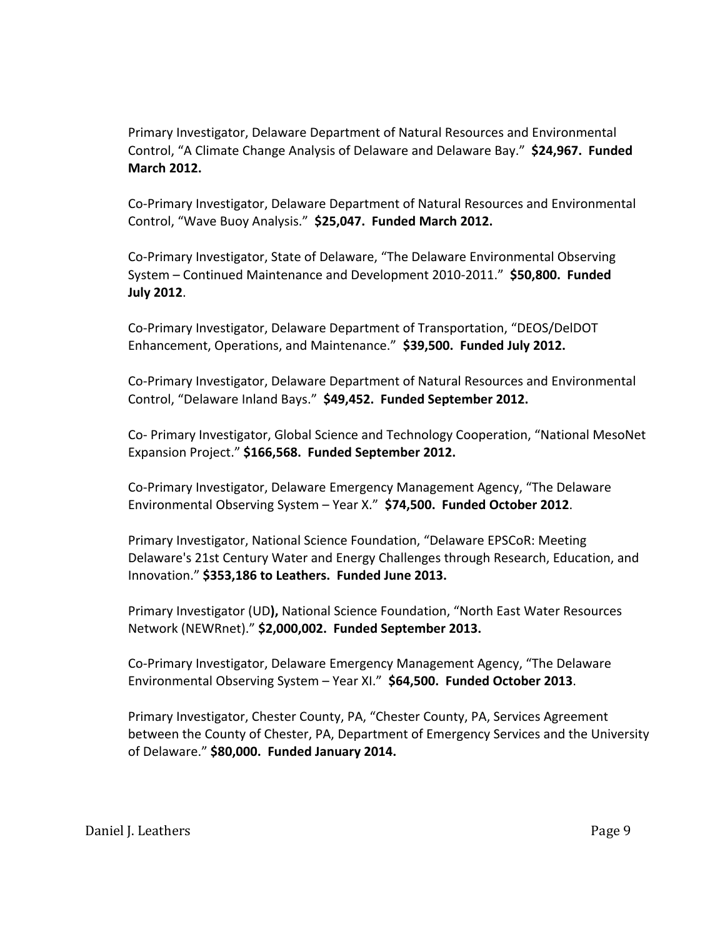Primary Investigator, Delaware Department of Natural Resources and Environmental Control, "A Climate Change Analysis of Delaware and Delaware Bay." **\$24,967. Funded March 2012.**

Co-Primary Investigator, Delaware Department of Natural Resources and Environmental Control, "Wave Buoy Analysis." **\$25,047. Funded March 2012.**

Co-Primary Investigator, State of Delaware, "The Delaware Environmental Observing System – Continued Maintenance and Development 2010-2011." **\$50,800. Funded July 2012**.

Co-Primary Investigator, Delaware Department of Transportation, "DEOS/DelDOT Enhancement, Operations, and Maintenance." **\$39,500. Funded July 2012.**

Co-Primary Investigator, Delaware Department of Natural Resources and Environmental Control, "Delaware Inland Bays." **\$49,452. Funded September 2012.**

Co- Primary Investigator, Global Science and Technology Cooperation, "National MesoNet Expansion Project." **\$166,568. Funded September 2012.**

Co-Primary Investigator, Delaware Emergency Management Agency, "The Delaware Environmental Observing System – Year X." **\$74,500. Funded October 2012**.

Primary Investigator, National Science Foundation, "Delaware EPSCoR: Meeting Delaware's 21st Century Water and Energy Challenges through Research, Education, and Innovation." **\$353,186 to Leathers. Funded June 2013.**

Primary Investigator (UD**),** National Science Foundation, "North East Water Resources Network (NEWRnet)." **\$2,000,002. Funded September 2013.**

Co-Primary Investigator, Delaware Emergency Management Agency, "The Delaware Environmental Observing System – Year XI." **\$64,500. Funded October 2013**.

Primary Investigator, Chester County, PA, "Chester County, PA, Services Agreement between the County of Chester, PA, Department of Emergency Services and the University of Delaware." **\$80,000. Funded January 2014.**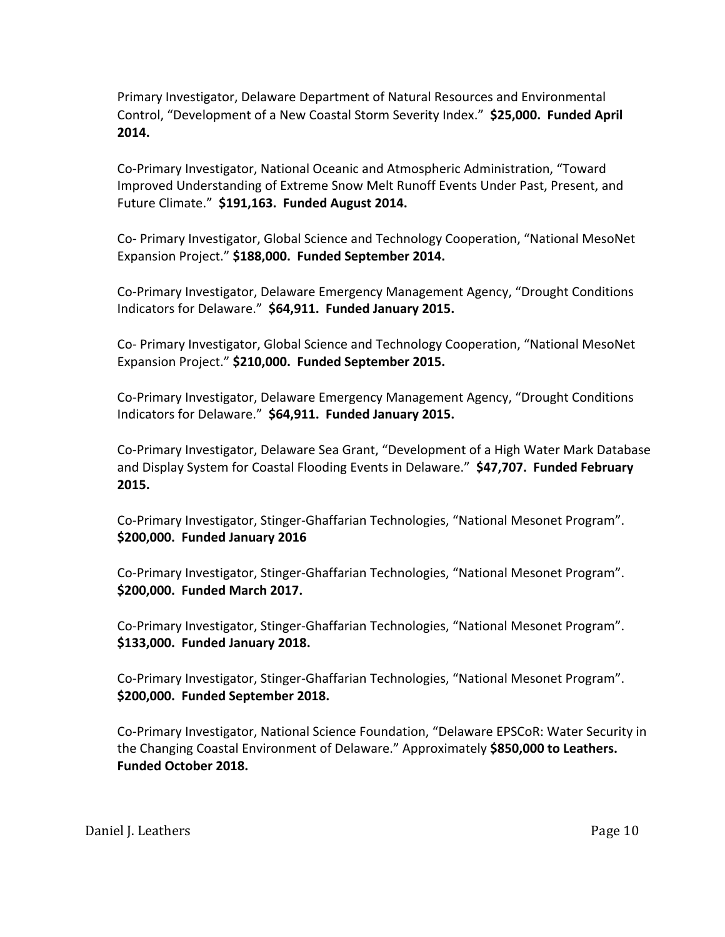Primary Investigator, Delaware Department of Natural Resources and Environmental Control, "Development of a New Coastal Storm Severity Index." **\$25,000. Funded April 2014.**

Co-Primary Investigator, National Oceanic and Atmospheric Administration, "Toward Improved Understanding of Extreme Snow Melt Runoff Events Under Past, Present, and Future Climate." **\$191,163. Funded August 2014.**

Co- Primary Investigator, Global Science and Technology Cooperation, "National MesoNet Expansion Project." **\$188,000. Funded September 2014.**

Co-Primary Investigator, Delaware Emergency Management Agency, "Drought Conditions Indicators for Delaware." **\$64,911. Funded January 2015.** 

Co- Primary Investigator, Global Science and Technology Cooperation, "National MesoNet Expansion Project." **\$210,000. Funded September 2015.**

Co-Primary Investigator, Delaware Emergency Management Agency, "Drought Conditions Indicators for Delaware." **\$64,911. Funded January 2015.**

Co-Primary Investigator, Delaware Sea Grant, "Development of a High Water Mark Database and Display System for Coastal Flooding Events in Delaware." **\$47,707. Funded February 2015.**

Co-Primary Investigator, Stinger-Ghaffarian Technologies, "National Mesonet Program". **\$200,000. Funded January 2016**

Co-Primary Investigator, Stinger-Ghaffarian Technologies, "National Mesonet Program". **\$200,000. Funded March 2017.**

Co-Primary Investigator, Stinger-Ghaffarian Technologies, "National Mesonet Program". **\$133,000. Funded January 2018.**

Co-Primary Investigator, Stinger-Ghaffarian Technologies, "National Mesonet Program". **\$200,000. Funded September 2018.**

Co-Primary Investigator, National Science Foundation, "Delaware EPSCoR: Water Security in the Changing Coastal Environment of Delaware." Approximately **\$850,000 to Leathers. Funded October 2018.**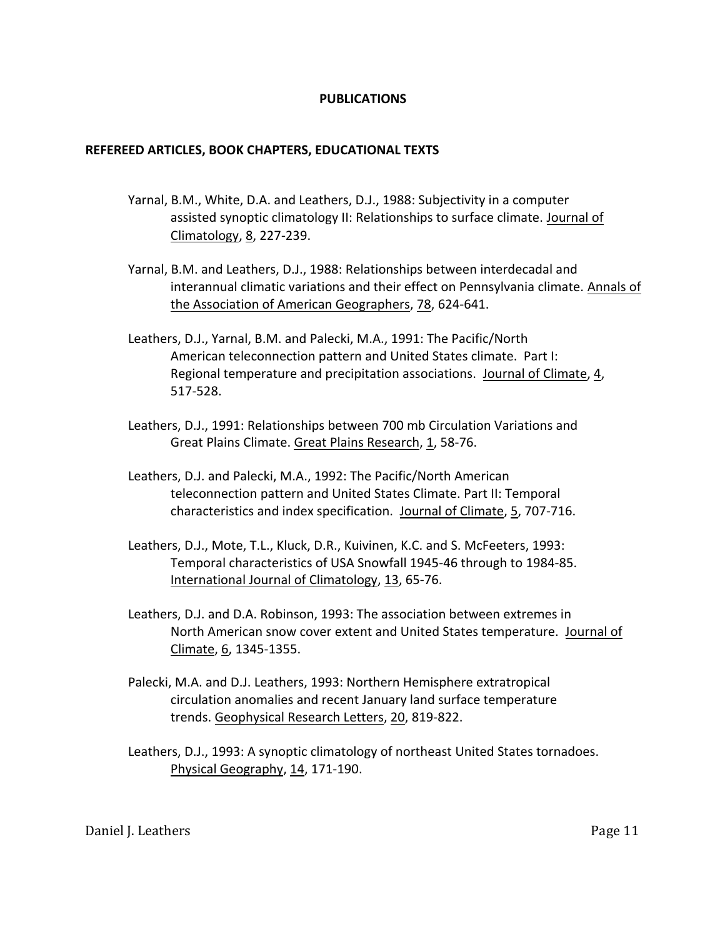## **PUBLICATIONS**

### **REFEREED ARTICLES, BOOK CHAPTERS, EDUCATIONAL TEXTS**

- Yarnal, B.M., White, D.A. and Leathers, D.J., 1988: Subjectivity in a computer assisted synoptic climatology II: Relationships to surface climate. Journal of Climatology, 8, 227-239.
- Yarnal, B.M. and Leathers, D.J., 1988: Relationships between interdecadal and interannual climatic variations and their effect on Pennsylvania climate. Annals of the Association of American Geographers, 78, 624-641.
- Leathers, D.J., Yarnal, B.M. and Palecki, M.A., 1991: The Pacific/North American teleconnection pattern and United States climate. Part I: Regional temperature and precipitation associations. Journal of Climate, 4, 517-528.
- Leathers, D.J., 1991: Relationships between 700 mb Circulation Variations and Great Plains Climate. Great Plains Research, 1, 58-76.
- Leathers, D.J. and Palecki, M.A., 1992: The Pacific/North American teleconnection pattern and United States Climate. Part II: Temporal characteristics and index specification. Journal of Climate, 5, 707-716.
- Leathers, D.J., Mote, T.L., Kluck, D.R., Kuivinen, K.C. and S. McFeeters, 1993: Temporal characteristics of USA Snowfall 1945-46 through to 1984-85. International Journal of Climatology, 13, 65-76.
- Leathers, D.J. and D.A. Robinson, 1993: The association between extremes in North American snow cover extent and United States temperature. Journal of Climate, 6, 1345-1355.
- Palecki, M.A. and D.J. Leathers, 1993: Northern Hemisphere extratropical circulation anomalies and recent January land surface temperature trends. Geophysical Research Letters, 20, 819-822.
- Leathers, D.J., 1993: A synoptic climatology of northeast United States tornadoes. Physical Geography, 14, 171-190.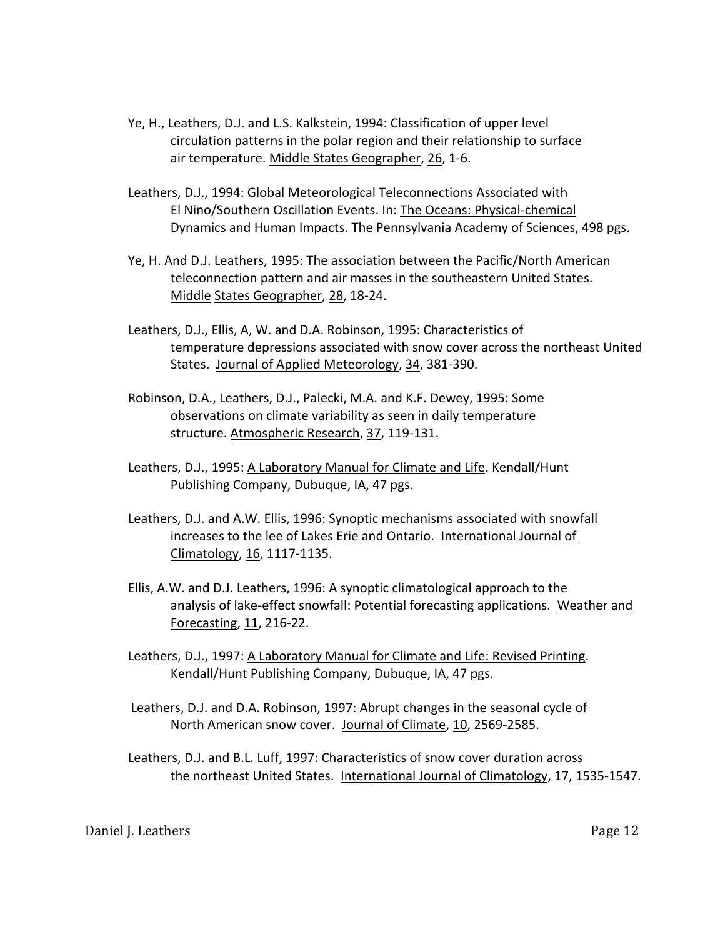- Ye, H., Leathers, D.J. and L.S. Kalkstein, 1994: Classification of upper level circulation patterns in the polar region and their relationship to surface air temperature. Middle States Geographer, 26, 1-6.
- Leathers, D.J., 1994: Global Meteorological Teleconnections Associated with El Nino/Southern Oscillation Events. In: The Oceans: Physical-chemical Dynamics and Human Impacts. The Pennsylvania Academy of Sciences, 498 pgs.
- Ye, H. And D.J. Leathers, 1995: The association between the Pacific/North American teleconnection pattern and air masses in the southeastern United States. Middle States Geographer, 28, 18-24.
- Leathers, D.J., Ellis, A, W. and D.A. Robinson, 1995: Characteristics of temperature depressions associated with snow cover across the northeast United States. Journal of Applied Meteorology, 34, 381-390.
- Robinson, D.A., Leathers, D.J., Palecki, M.A. and K.F. Dewey, 1995: Some observations on climate variability as seen in daily temperature structure. Atmospheric Research, 37, 119-131.
- Leathers, D.J., 1995: A Laboratory Manual for Climate and Life. Kendall/Hunt Publishing Company, Dubuque, IA, 47 pgs.
- Leathers, D.J. and A.W. Ellis, 1996: Synoptic mechanisms associated with snowfall increases to the lee of Lakes Erie and Ontario. International Journal of Climatology, 16, 1117-1135.
- Ellis, A.W. and D.J. Leathers, 1996: A synoptic climatological approach to the analysis of lake-effect snowfall: Potential forecasting applications. Weather and Forecasting, 11, 216-22.
- Leathers, D.J., 1997: A Laboratory Manual for Climate and Life: Revised Printing. Kendall/Hunt Publishing Company, Dubuque, IA, 47 pgs.
- Leathers, D.J. and D.A. Robinson, 1997: Abrupt changes in the seasonal cycle of North American snow cover. Journal of Climate, 10, 2569-2585.
- Leathers, D.J. and B.L. Luff, 1997: Characteristics of snow cover duration across the northeast United States. International Journal of Climatology, 17, 1535-1547.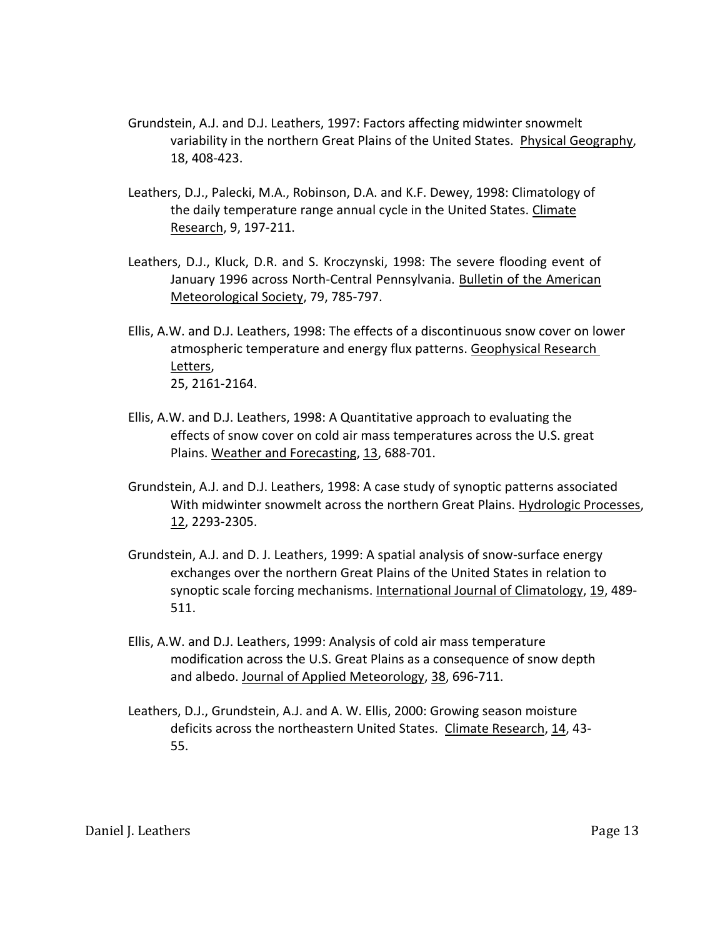- Grundstein, A.J. and D.J. Leathers, 1997: Factors affecting midwinter snowmelt variability in the northern Great Plains of the United States. Physical Geography, 18, 408-423.
- Leathers, D.J., Palecki, M.A., Robinson, D.A. and K.F. Dewey, 1998: Climatology of the daily temperature range annual cycle in the United States. Climate Research, 9, 197-211.
- Leathers, D.J., Kluck, D.R. and S. Kroczynski, 1998: The severe flooding event of January 1996 across North-Central Pennsylvania. Bulletin of the American Meteorological Society, 79, 785-797.
- Ellis, A.W. and D.J. Leathers, 1998: The effects of a discontinuous snow cover on lower atmospheric temperature and energy flux patterns. Geophysical Research Letters, 25, 2161-2164.
- Ellis, A.W. and D.J. Leathers, 1998: A Quantitative approach to evaluating the effects of snow cover on cold air mass temperatures across the U.S. great Plains. Weather and Forecasting, 13, 688-701.
- Grundstein, A.J. and D.J. Leathers, 1998: A case study of synoptic patterns associated With midwinter snowmelt across the northern Great Plains. Hydrologic Processes, 12, 2293-2305.
- Grundstein, A.J. and D. J. Leathers, 1999: A spatial analysis of snow-surface energy exchanges over the northern Great Plains of the United States in relation to synoptic scale forcing mechanisms. International Journal of Climatology, 19, 489- 511.
- Ellis, A.W. and D.J. Leathers, 1999: Analysis of cold air mass temperature modification across the U.S. Great Plains as a consequence of snow depth and albedo. Journal of Applied Meteorology, 38, 696-711.
- Leathers, D.J., Grundstein, A.J. and A. W. Ellis, 2000: Growing season moisture deficits across the northeastern United States. Climate Research, 14, 43- 55.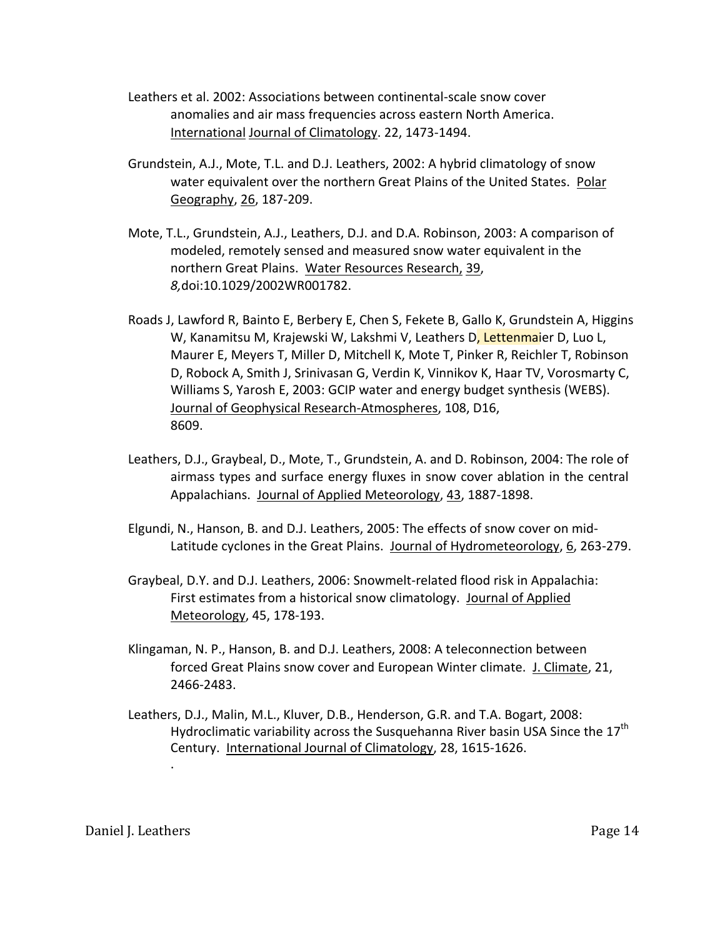- Leathers et al. 2002: Associations between continental-scale snow cover anomalies and air mass frequencies across eastern North America. International Journal of Climatology. 22, 1473-1494.
- Grundstein, A.J., Mote, T.L. and D.J. Leathers, 2002: A hybrid climatology of snow water equivalent over the northern Great Plains of the United States. Polar Geography, 26, 187-209.
- Mote, T.L., Grundstein, A.J., Leathers, D.J. and D.A. Robinson, 2003: A comparison of modeled, remotely sensed and measured snow water equivalent in the northern Great Plains. Water Resources Research, 39, *8,*doi:10.1029/2002WR001782.
- Roads J, Lawford R, Bainto E, Berbery E, Chen S, Fekete B, Gallo K, Grundstein A, Higgins W, Kanamitsu M, Krajewski W, Lakshmi V, Leathers D, Lettenmaier D, Luo L, Maurer E, Meyers T, Miller D, Mitchell K, Mote T, Pinker R, Reichler T, Robinson D, Robock A, Smith J, Srinivasan G, Verdin K, Vinnikov K, Haar TV, Vorosmarty C, Williams S, Yarosh E, 2003: GCIP water and energy budget synthesis (WEBS). Journal of Geophysical Research-Atmospheres, 108, D16, 8609.
- Leathers, D.J., Graybeal, D., Mote, T., Grundstein, A. and D. Robinson, 2004: The role of airmass types and surface energy fluxes in snow cover ablation in the central Appalachians. Journal of Applied Meteorology, 43, 1887-1898.
- Elgundi, N., Hanson, B. and D.J. Leathers, 2005: The effects of snow cover on mid-Latitude cyclones in the Great Plains. Journal of Hydrometeorology, 6, 263-279.
- Graybeal, D.Y. and D.J. Leathers, 2006: Snowmelt-related flood risk in Appalachia: First estimates from a historical snow climatology. Journal of Applied Meteorology, 45, 178-193.
- Klingaman, N. P., Hanson, B. and D.J. Leathers, 2008: A teleconnection between forced Great Plains snow cover and European Winter climate. J. Climate, 21, 2466-2483.
- Leathers, D.J., Malin, M.L., Kluver, D.B., Henderson, G.R. and T.A. Bogart, 2008: Hydroclimatic variability across the Susquehanna River basin USA Since the  $17<sup>th</sup>$ Century. International Journal of Climatology, 28, 1615-1626.

.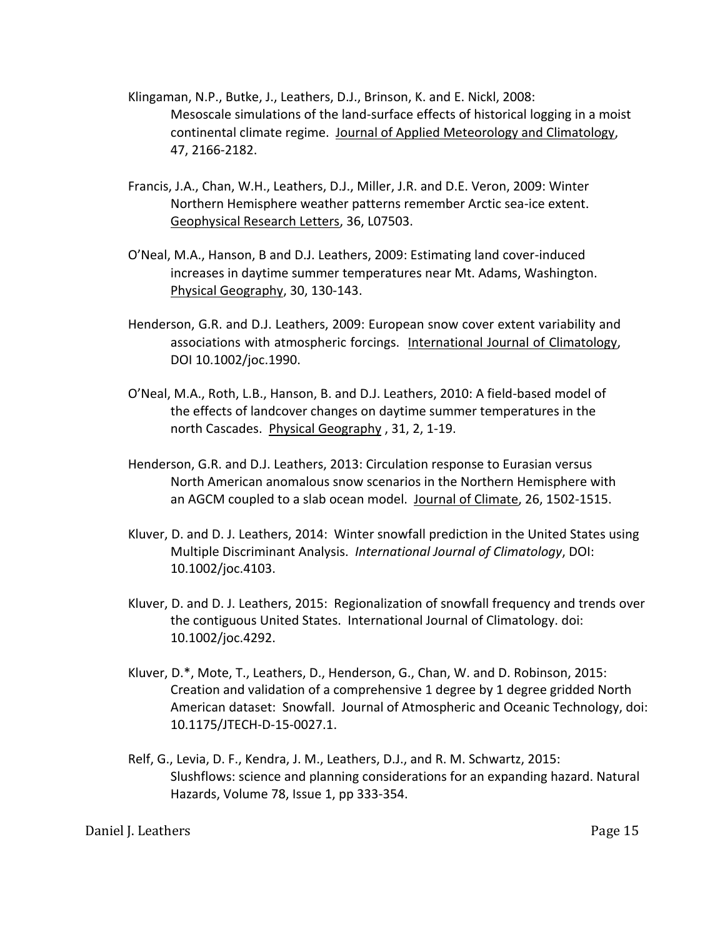- Klingaman, N.P., Butke, J., Leathers, D.J., Brinson, K. and E. Nickl, 2008: Mesoscale simulations of the land-surface effects of historical logging in a moist continental climate regime. Journal of Applied Meteorology and Climatology, 47, 2166-2182.
- Francis, J.A., Chan, W.H., Leathers, D.J., Miller, J.R. and D.E. Veron, 2009: Winter Northern Hemisphere weather patterns remember Arctic sea-ice extent. Geophysical Research Letters, 36, L07503.
- O'Neal, M.A., Hanson, B and D.J. Leathers, 2009: Estimating land cover-induced increases in daytime summer temperatures near Mt. Adams, Washington. Physical Geography, 30, 130-143.
- Henderson, G.R. and D.J. Leathers, 2009: European snow cover extent variability and associations with atmospheric forcings. International Journal of Climatology, DOI 10.1002/joc.1990.
- O'Neal, M.A., Roth, L.B., Hanson, B. and D.J. Leathers, 2010: A field-based model of the effects of landcover changes on daytime summer temperatures in the north Cascades. Physical Geography , 31, 2, 1-19.
- Henderson, G.R. and D.J. Leathers, 2013: Circulation response to Eurasian versus North American anomalous snow scenarios in the Northern Hemisphere with an AGCM coupled to a slab ocean model. Journal of Climate, 26, 1502-1515.
- Kluver, D. and D. J. Leathers, 2014: Winter snowfall prediction in the United States using Multiple Discriminant Analysis. *International Journal of Climatology*, DOI: 10.1002/joc.4103.
- Kluver, D. and D. J. Leathers, 2015: Regionalization of snowfall frequency and trends over the contiguous United States. International Journal of Climatology. doi: 10.1002/joc.4292.
- Kluver, D.\*, Mote, T., Leathers, D., Henderson, G., Chan, W. and D. Robinson, 2015: Creation and validation of a comprehensive 1 degree by 1 degree gridded North American dataset: Snowfall. Journal of Atmospheric and Oceanic Technology, doi: 10.1175/JTECH-D-15-0027.1.
- Relf, G., Levia, D. F., Kendra, J. M., Leathers, D.J., and R. M. Schwartz, 2015: Slushflows: science and planning considerations for an expanding hazard. Natural Hazards, Volume 78, Issue 1, pp 333-354.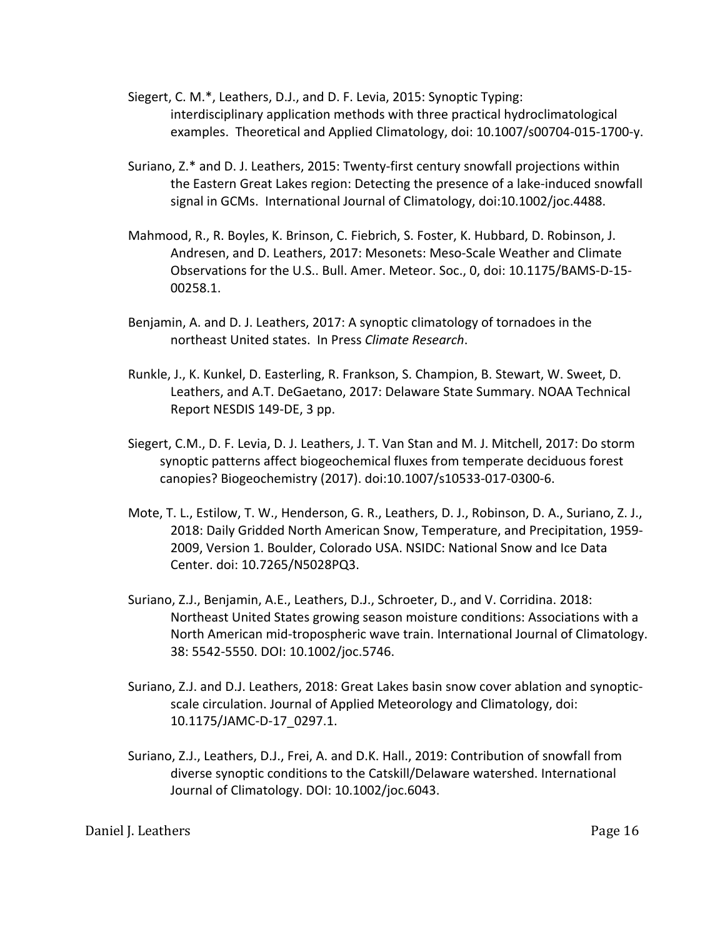- Siegert, C. M.\*, Leathers, D.J., and D. F. Levia, 2015: Synoptic Typing: interdisciplinary application methods with three practical hydroclimatological examples. Theoretical and Applied Climatology, doi: 10.1007/s00704-015-1700-y.
- Suriano, Z.\* and D. J. Leathers, 2015: Twenty-first century snowfall projections within the Eastern Great Lakes region: Detecting the presence of a lake-induced snowfall signal in GCMs. International Journal of Climatology, doi:10.1002/joc.4488.
- Mahmood, R., R. Boyles, K. Brinson, C. Fiebrich, S. Foster, K. Hubbard, D. Robinson, J. Andresen, and D. Leathers, 2017: Mesonets: Meso-Scale Weather and Climate Observations for the U.S.. Bull. Amer. Meteor. Soc., 0, doi: 10.1175/BAMS-D-15- 00258.1.
- Benjamin, A. and D. J. Leathers, 2017: A synoptic climatology of tornadoes in the northeast United states. In Press *Climate Research*.
- Runkle, J., K. Kunkel, D. Easterling, R. Frankson, S. Champion, B. Stewart, W. Sweet, D. Leathers, and A.T. DeGaetano, 2017: Delaware State Summary. NOAA Technical Report NESDIS 149-DE, 3 pp.
- Siegert, C.M., D. F. Levia, D. J. Leathers, J. T. Van Stan and M. J. Mitchell, 2017: Do storm synoptic patterns affect biogeochemical fluxes from temperate deciduous forest canopies? Biogeochemistry (2017). doi:10.1007/s10533-017-0300-6.
- Mote, T. L., Estilow, T. W., Henderson, G. R., Leathers, D. J., Robinson, D. A., Suriano, Z. J., 2018: Daily Gridded North American Snow, Temperature, and Precipitation, 1959- 2009, Version 1. Boulder, Colorado USA. NSIDC: National Snow and Ice Data Center. doi: 10.7265/N5028PQ3.
- Suriano, Z.J., Benjamin, A.E., Leathers, D.J., Schroeter, D., and V. Corridina. 2018: Northeast United States growing season moisture conditions: Associations with a North American mid-tropospheric wave train. International Journal of Climatology. 38: 5542-5550. DOI: 10.1002/joc.5746.
- Suriano, Z.J. and D.J. Leathers, 2018: Great Lakes basin snow cover ablation and synopticscale circulation. Journal of Applied Meteorology and Climatology, doi: 10.1175/JAMC-D-17\_0297.1.
- Suriano, Z.J., Leathers, D.J., Frei, A. and D.K. Hall., 2019: Contribution of snowfall from diverse synoptic conditions to the Catskill/Delaware watershed. International Journal of Climatology. DOI: 10.1002/joc.6043.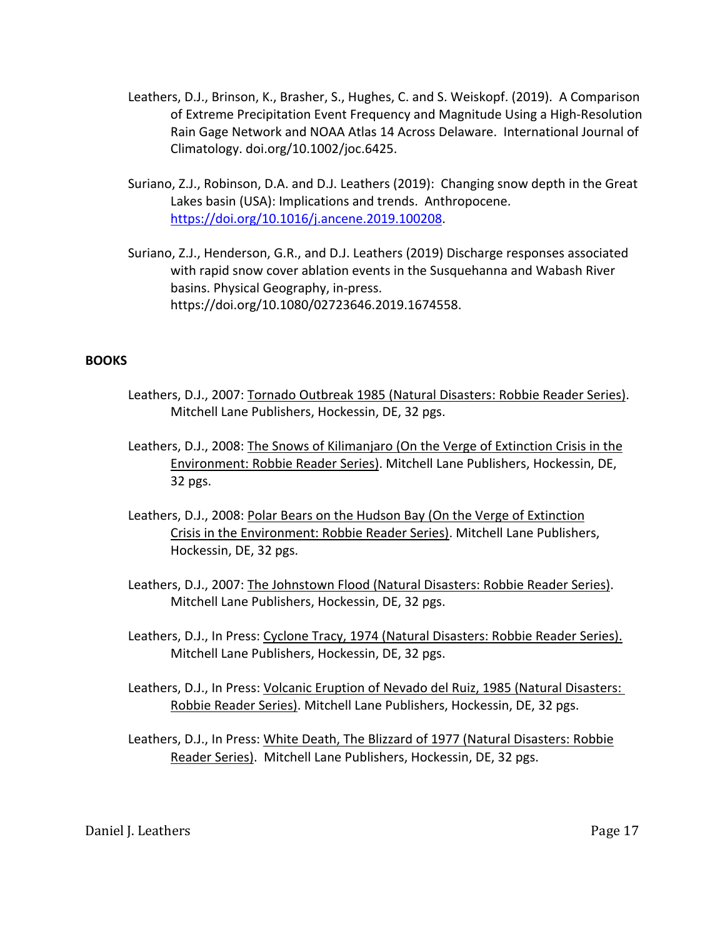- Leathers, D.J., Brinson, K., Brasher, S., Hughes, C. and S. Weiskopf. (2019). A Comparison of Extreme Precipitation Event Frequency and Magnitude Using a High-Resolution Rain Gage Network and NOAA Atlas 14 Across Delaware. International Journal of Climatology. doi.org/10.1002/joc.6425.
- Suriano, Z.J., Robinson, D.A. and D.J. Leathers (2019): Changing snow depth in the Great Lakes basin (USA): Implications and trends. Anthropocene. https://doi.org/10.1016/j.ancene.2019.100208.
- Suriano, Z.J., Henderson, G.R., and D.J. Leathers (2019) Discharge responses associated with rapid snow cover ablation events in the Susquehanna and Wabash River basins. Physical Geography, in-press. https://doi.org/10.1080/02723646.2019.1674558.

## **BOOKS**

- Leathers, D.J., 2007: Tornado Outbreak 1985 (Natural Disasters: Robbie Reader Series). Mitchell Lane Publishers, Hockessin, DE, 32 pgs.
- Leathers, D.J., 2008: The Snows of Kilimanjaro (On the Verge of Extinction Crisis in the Environment: Robbie Reader Series). Mitchell Lane Publishers, Hockessin, DE, 32 pgs.
- Leathers, D.J., 2008: Polar Bears on the Hudson Bay (On the Verge of Extinction Crisis in the Environment: Robbie Reader Series). Mitchell Lane Publishers, Hockessin, DE, 32 pgs.
- Leathers, D.J., 2007: The Johnstown Flood (Natural Disasters: Robbie Reader Series). Mitchell Lane Publishers, Hockessin, DE, 32 pgs.
- Leathers, D.J., In Press: Cyclone Tracy, 1974 (Natural Disasters: Robbie Reader Series). Mitchell Lane Publishers, Hockessin, DE, 32 pgs.
- Leathers, D.J., In Press: Volcanic Eruption of Nevado del Ruiz, 1985 (Natural Disasters: Robbie Reader Series). Mitchell Lane Publishers, Hockessin, DE, 32 pgs.
- Leathers, D.J., In Press: White Death, The Blizzard of 1977 (Natural Disasters: Robbie Reader Series). Mitchell Lane Publishers, Hockessin, DE, 32 pgs.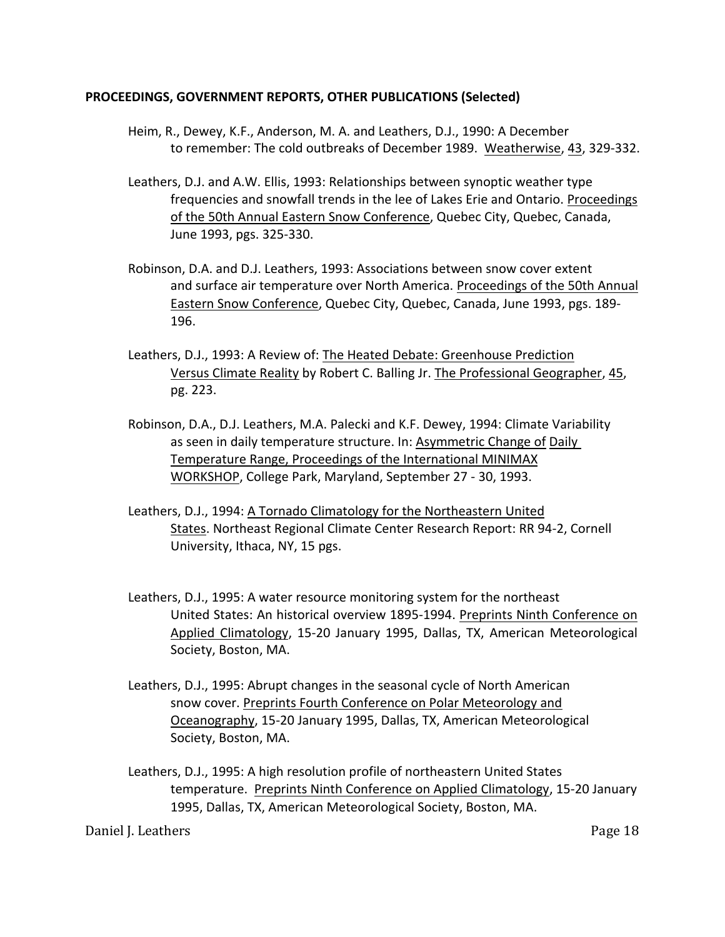## **PROCEEDINGS, GOVERNMENT REPORTS, OTHER PUBLICATIONS (Selected)**

- Heim, R., Dewey, K.F., Anderson, M. A. and Leathers, D.J., 1990: A December to remember: The cold outbreaks of December 1989. Weatherwise, 43, 329-332.
- Leathers, D.J. and A.W. Ellis, 1993: Relationships between synoptic weather type frequencies and snowfall trends in the lee of Lakes Erie and Ontario. Proceedings of the 50th Annual Eastern Snow Conference, Quebec City, Quebec, Canada, June 1993, pgs. 325-330.
- Robinson, D.A. and D.J. Leathers, 1993: Associations between snow cover extent and surface air temperature over North America. Proceedings of the 50th Annual Eastern Snow Conference, Quebec City, Quebec, Canada, June 1993, pgs. 189- 196.
- Leathers, D.J., 1993: A Review of: The Heated Debate: Greenhouse Prediction Versus Climate Reality by Robert C. Balling Jr. The Professional Geographer, 45, pg. 223.
- Robinson, D.A., D.J. Leathers, M.A. Palecki and K.F. Dewey, 1994: Climate Variability as seen in daily temperature structure. In: Asymmetric Change of Daily Temperature Range, Proceedings of the International MINIMAX WORKSHOP, College Park, Maryland, September 27 - 30, 1993.
- Leathers, D.J., 1994: A Tornado Climatology for the Northeastern United States. Northeast Regional Climate Center Research Report: RR 94-2, Cornell University, Ithaca, NY, 15 pgs.
- Leathers, D.J., 1995: A water resource monitoring system for the northeast United States: An historical overview 1895-1994. Preprints Ninth Conference on Applied Climatology, 15-20 January 1995, Dallas, TX, American Meteorological Society, Boston, MA.
- Leathers, D.J., 1995: Abrupt changes in the seasonal cycle of North American snow cover. Preprints Fourth Conference on Polar Meteorology and Oceanography, 15-20 January 1995, Dallas, TX, American Meteorological Society, Boston, MA.
- Leathers, D.J., 1995: A high resolution profile of northeastern United States temperature. Preprints Ninth Conference on Applied Climatology, 15-20 January 1995, Dallas, TX, American Meteorological Society, Boston, MA.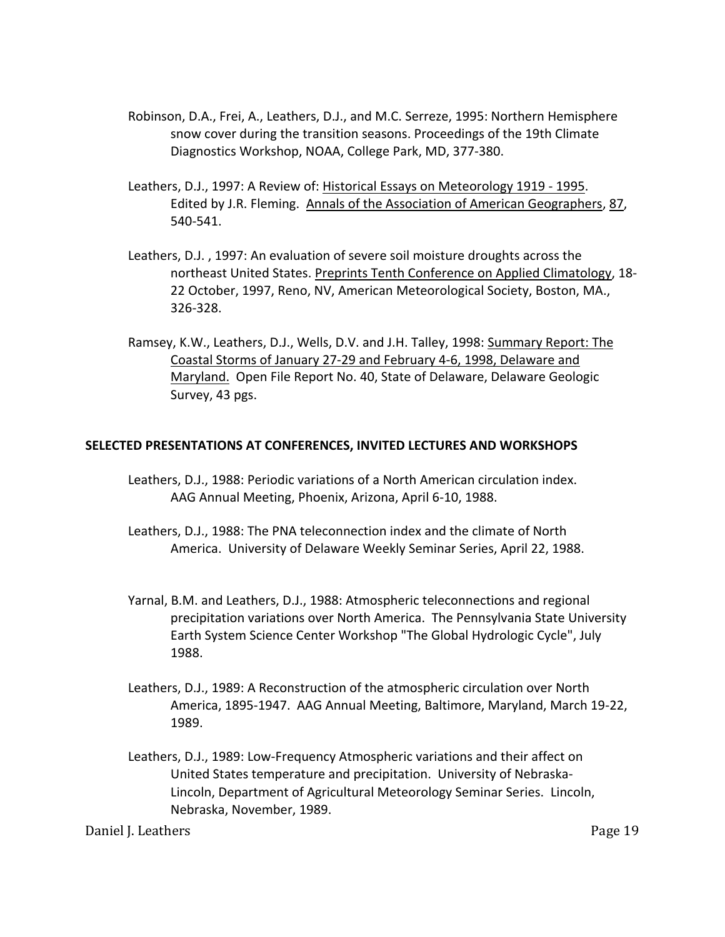- Robinson, D.A., Frei, A., Leathers, D.J., and M.C. Serreze, 1995: Northern Hemisphere snow cover during the transition seasons. Proceedings of the 19th Climate Diagnostics Workshop, NOAA, College Park, MD, 377-380.
- Leathers, D.J., 1997: A Review of: Historical Essays on Meteorology 1919 1995. Edited by J.R. Fleming. Annals of the Association of American Geographers, 87, 540-541.
- Leathers, D.J. , 1997: An evaluation of severe soil moisture droughts across the northeast United States. Preprints Tenth Conference on Applied Climatology, 18- 22 October, 1997, Reno, NV, American Meteorological Society, Boston, MA., 326-328.
- Ramsey, K.W., Leathers, D.J., Wells, D.V. and J.H. Talley, 1998: Summary Report: The Coastal Storms of January 27-29 and February 4-6, 1998, Delaware and Maryland. Open File Report No. 40, State of Delaware, Delaware Geologic Survey, 43 pgs.

# **SELECTED PRESENTATIONS AT CONFERENCES, INVITED LECTURES AND WORKSHOPS**

- Leathers, D.J., 1988: Periodic variations of a North American circulation index. AAG Annual Meeting, Phoenix, Arizona, April 6-10, 1988.
- Leathers, D.J., 1988: The PNA teleconnection index and the climate of North America. University of Delaware Weekly Seminar Series, April 22, 1988.
- Yarnal, B.M. and Leathers, D.J., 1988: Atmospheric teleconnections and regional precipitation variations over North America. The Pennsylvania State University Earth System Science Center Workshop "The Global Hydrologic Cycle", July 1988.
- Leathers, D.J., 1989: A Reconstruction of the atmospheric circulation over North America, 1895-1947. AAG Annual Meeting, Baltimore, Maryland, March 19-22, 1989.
- Leathers, D.J., 1989: Low-Frequency Atmospheric variations and their affect on United States temperature and precipitation. University of Nebraska-Lincoln, Department of Agricultural Meteorology Seminar Series. Lincoln, Nebraska, November, 1989.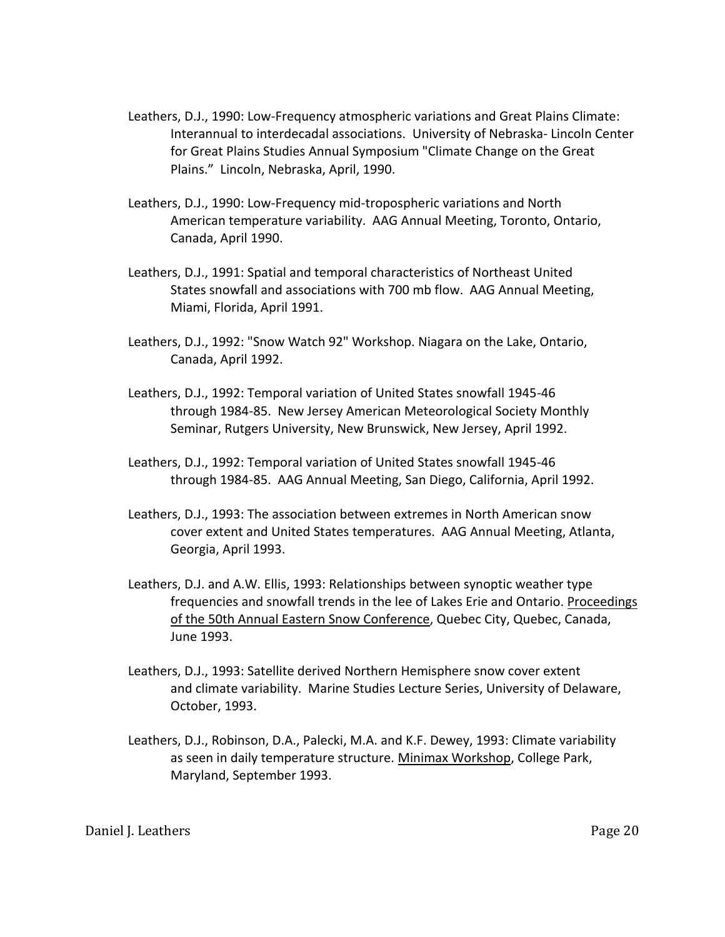- Leathers, D.J., 1990: Low-Frequency atmospheric variations and Great Plains Climate: Interannual to interdecadal associations. University of Nebraska- Lincoln Center for Great Plains Studies Annual Symposium "Climate Change on the Great Plains." Lincoln, Nebraska, April, 1990.
- Leathers, D.J., 1990: Low-Frequency mid-tropospheric variations and North American temperature variability. AAG Annual Meeting, Toronto, Ontario, Canada, April 1990.
- Leathers, D.J., 1991: Spatial and temporal characteristics of Northeast United States snowfall and associations with 700 mb flow. AAG Annual Meeting, Miami, Florida, April 1991.
- Leathers, D.J., 1992: "Snow Watch 92" Workshop. Niagara on the Lake, Ontario, Canada, April 1992.
- Leathers, D.J., 1992: Temporal variation of United States snowfall 1945-46 through 1984-85. New Jersey American Meteorological Society Monthly Seminar, Rutgers University, New Brunswick, New Jersey, April 1992.
- Leathers, D.J., 1992: Temporal variation of United States snowfall 1945-46 through 1984-85. AAG Annual Meeting, San Diego, California, April 1992.
- Leathers, D.J., 1993: The association between extremes in North American snow cover extent and United States temperatures. AAG Annual Meeting, Atlanta, Georgia, April 1993.
- Leathers, D.J. and A.W. Ellis, 1993: Relationships between synoptic weather type frequencies and snowfall trends in the lee of Lakes Erie and Ontario. Proceedings of the 50th Annual Eastern Snow Conference, Quebec City, Quebec, Canada, June 1993.
- Leathers, D.J., 1993: Satellite derived Northern Hemisphere snow cover extent and climate variability. Marine Studies Lecture Series, University of Delaware, October, 1993.
- Leathers, D.J., Robinson, D.A., Palecki, M.A. and K.F. Dewey, 1993: Climate variability as seen in daily temperature structure. Minimax Workshop, College Park, Maryland, September 1993.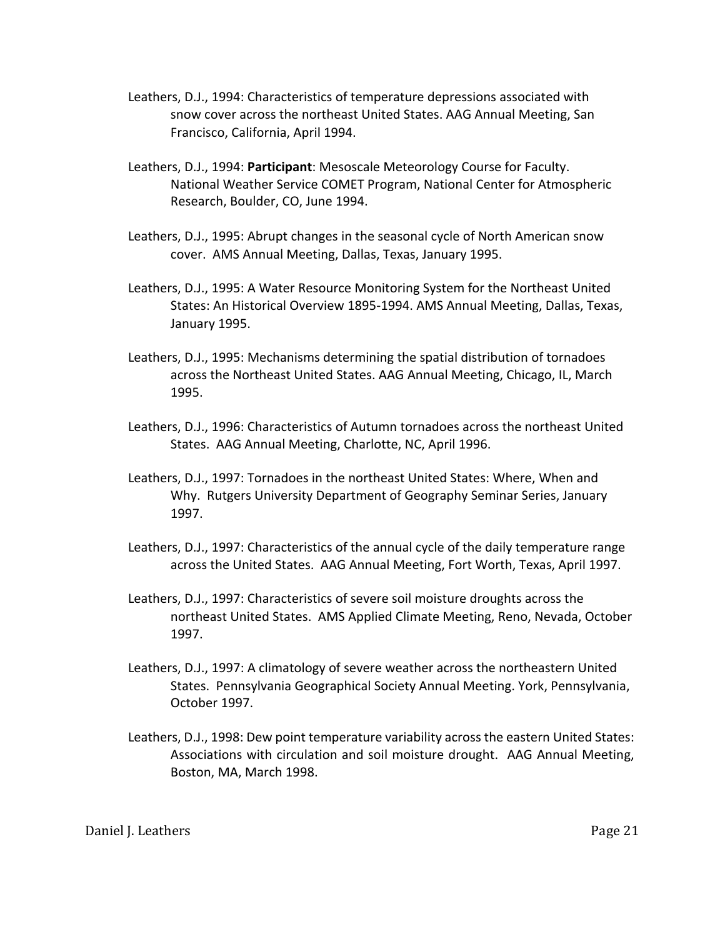- Leathers, D.J., 1994: Characteristics of temperature depressions associated with snow cover across the northeast United States. AAG Annual Meeting, San Francisco, California, April 1994.
- Leathers, D.J., 1994: **Participant**: Mesoscale Meteorology Course for Faculty. National Weather Service COMET Program, National Center for Atmospheric Research, Boulder, CO, June 1994.
- Leathers, D.J., 1995: Abrupt changes in the seasonal cycle of North American snow cover. AMS Annual Meeting, Dallas, Texas, January 1995.
- Leathers, D.J., 1995: A Water Resource Monitoring System for the Northeast United States: An Historical Overview 1895-1994. AMS Annual Meeting, Dallas, Texas, January 1995.
- Leathers, D.J., 1995: Mechanisms determining the spatial distribution of tornadoes across the Northeast United States. AAG Annual Meeting, Chicago, IL, March 1995.
- Leathers, D.J., 1996: Characteristics of Autumn tornadoes across the northeast United States. AAG Annual Meeting, Charlotte, NC, April 1996.
- Leathers, D.J., 1997: Tornadoes in the northeast United States: Where, When and Why. Rutgers University Department of Geography Seminar Series, January 1997.
- Leathers, D.J., 1997: Characteristics of the annual cycle of the daily temperature range across the United States. AAG Annual Meeting, Fort Worth, Texas, April 1997.
- Leathers, D.J., 1997: Characteristics of severe soil moisture droughts across the northeast United States. AMS Applied Climate Meeting, Reno, Nevada, October 1997.
- Leathers, D.J., 1997: A climatology of severe weather across the northeastern United States. Pennsylvania Geographical Society Annual Meeting. York, Pennsylvania, October 1997.
- Leathers, D.J., 1998: Dew point temperature variability across the eastern United States: Associations with circulation and soil moisture drought. AAG Annual Meeting, Boston, MA, March 1998.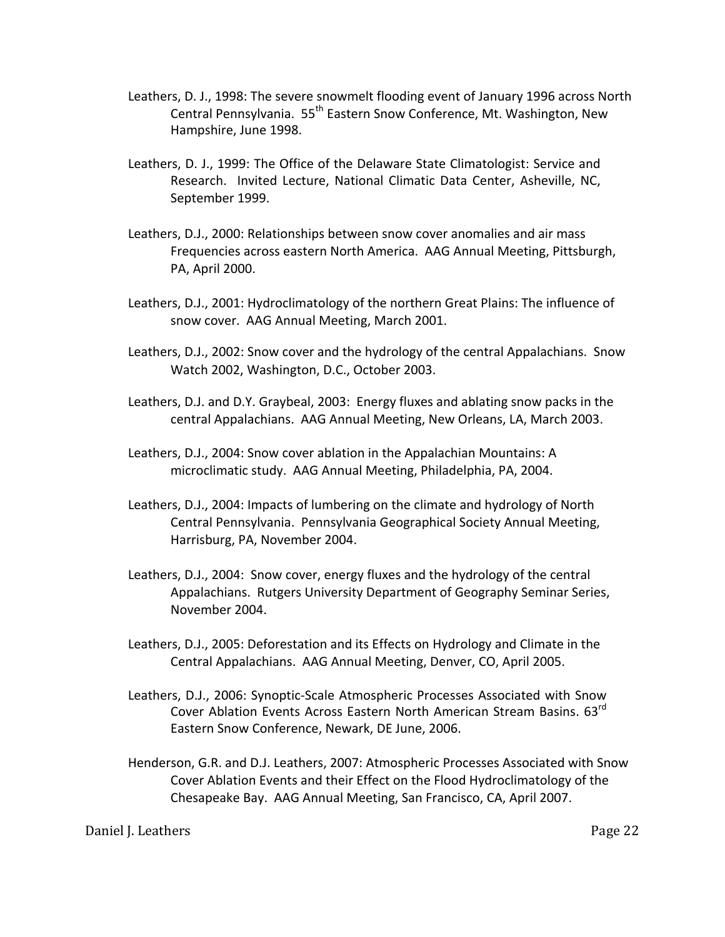- Leathers, D. J., 1998: The severe snowmelt flooding event of January 1996 across North Central Pennsylvania. 55<sup>th</sup> Eastern Snow Conference, Mt. Washington, New Hampshire, June 1998.
- Leathers, D. J., 1999: The Office of the Delaware State Climatologist: Service and Research. Invited Lecture, National Climatic Data Center, Asheville, NC, September 1999.
- Leathers, D.J., 2000: Relationships between snow cover anomalies and air mass Frequencies across eastern North America. AAG Annual Meeting, Pittsburgh, PA, April 2000.
- Leathers, D.J., 2001: Hydroclimatology of the northern Great Plains: The influence of snow cover. AAG Annual Meeting, March 2001.
- Leathers, D.J., 2002: Snow cover and the hydrology of the central Appalachians. Snow Watch 2002, Washington, D.C., October 2003.
- Leathers, D.J. and D.Y. Graybeal, 2003: Energy fluxes and ablating snow packs in the central Appalachians. AAG Annual Meeting, New Orleans, LA, March 2003.
- Leathers, D.J., 2004: Snow cover ablation in the Appalachian Mountains: A microclimatic study. AAG Annual Meeting, Philadelphia, PA, 2004.
- Leathers, D.J., 2004: Impacts of lumbering on the climate and hydrology of North Central Pennsylvania. Pennsylvania Geographical Society Annual Meeting, Harrisburg, PA, November 2004.
- Leathers, D.J., 2004: Snow cover, energy fluxes and the hydrology of the central Appalachians. Rutgers University Department of Geography Seminar Series, November 2004.
- Leathers, D.J., 2005: Deforestation and its Effects on Hydrology and Climate in the Central Appalachians. AAG Annual Meeting, Denver, CO, April 2005.
- Leathers, D.J., 2006: Synoptic-Scale Atmospheric Processes Associated with Snow Cover Ablation Events Across Eastern North American Stream Basins. 63<sup>rd</sup> Eastern Snow Conference, Newark, DE June, 2006.
- Henderson, G.R. and D.J. Leathers, 2007: Atmospheric Processes Associated with Snow Cover Ablation Events and their Effect on the Flood Hydroclimatology of the Chesapeake Bay. AAG Annual Meeting, San Francisco, CA, April 2007.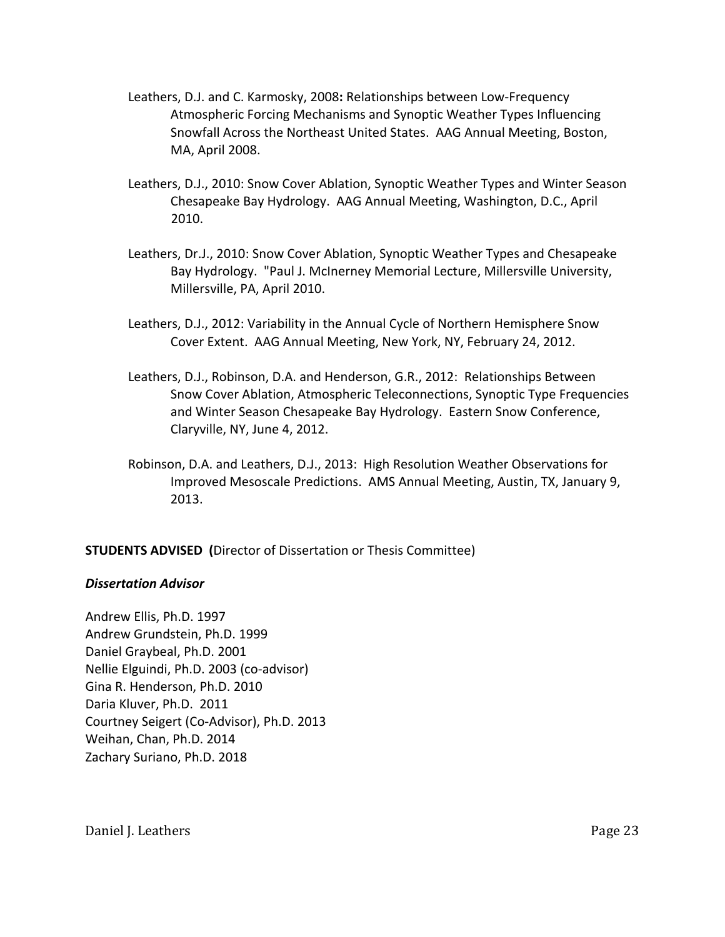- Leathers, D.J. and C. Karmosky, 2008**:** Relationships between Low-Frequency Atmospheric Forcing Mechanisms and Synoptic Weather Types Influencing Snowfall Across the Northeast United States. AAG Annual Meeting, Boston, MA, April 2008.
- Leathers, D.J., 2010: Snow Cover Ablation, Synoptic Weather Types and Winter Season Chesapeake Bay Hydrology. AAG Annual Meeting, Washington, D.C., April 2010.
- Leathers, Dr.J., 2010: Snow Cover Ablation, Synoptic Weather Types and Chesapeake Bay Hydrology. "Paul J. McInerney Memorial Lecture, Millersville University, Millersville, PA, April 2010.
- Leathers, D.J., 2012: Variability in the Annual Cycle of Northern Hemisphere Snow Cover Extent. AAG Annual Meeting, New York, NY, February 24, 2012.
- Leathers, D.J., Robinson, D.A. and Henderson, G.R., 2012: Relationships Between Snow Cover Ablation, Atmospheric Teleconnections, Synoptic Type Frequencies and Winter Season Chesapeake Bay Hydrology. Eastern Snow Conference, Claryville, NY, June 4, 2012.
- Robinson, D.A. and Leathers, D.J., 2013: High Resolution Weather Observations for Improved Mesoscale Predictions. AMS Annual Meeting, Austin, TX, January 9, 2013.

# **STUDENTS ADVISED (**Director of Dissertation or Thesis Committee)

# *Dissertation Advisor*

Andrew Ellis, Ph.D. 1997 Andrew Grundstein, Ph.D. 1999 Daniel Graybeal, Ph.D. 2001 Nellie Elguindi, Ph.D. 2003 (co-advisor) Gina R. Henderson, Ph.D. 2010 Daria Kluver, Ph.D. 2011 Courtney Seigert (Co-Advisor), Ph.D. 2013 Weihan, Chan, Ph.D. 2014 Zachary Suriano, Ph.D. 2018